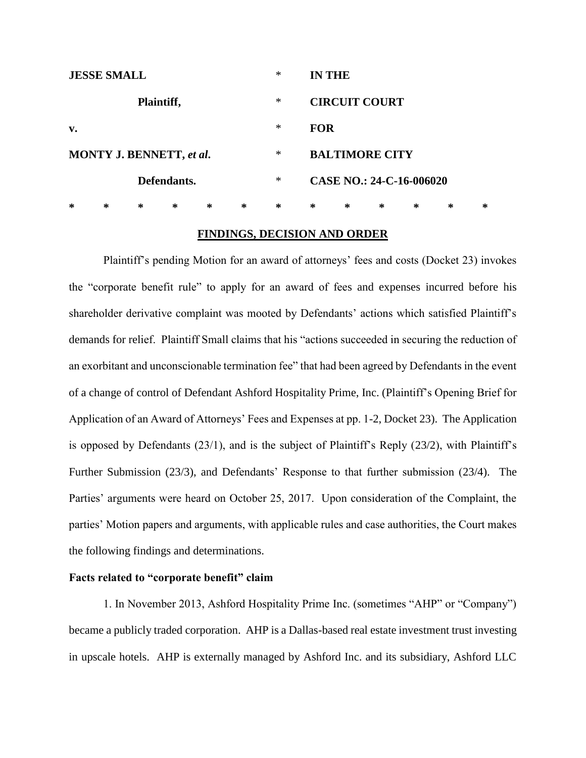| <b>JESSE SMALL</b>              |   |   |   |   |   | $\ast$ |            | <b>IN THE</b>            |   |        |   |   |  |
|---------------------------------|---|---|---|---|---|--------|------------|--------------------------|---|--------|---|---|--|
| Plaintiff,                      |   |   |   |   |   | *      |            | <b>CIRCUIT COURT</b>     |   |        |   |   |  |
| $\mathbf{v}$ .                  |   |   |   |   |   | $\ast$ | <b>FOR</b> |                          |   |        |   |   |  |
| <b>MONTY J. BENNETT, et al.</b> |   |   |   |   |   | $\ast$ |            | <b>BALTIMORE CITY</b>    |   |        |   |   |  |
| Defendants.                     |   |   |   |   |   | ∗      |            | CASE NO.: 24-C-16-006020 |   |        |   |   |  |
| ∗                               | ∗ | ∗ | ∗ | ∗ | ∗ | ∗      | ∗          | ∗                        | ∗ | $\ast$ | ∗ | ∗ |  |

## **FINDINGS, DECISION AND ORDER**

Plaintiff's pending Motion for an award of attorneys' fees and costs (Docket 23) invokes the "corporate benefit rule" to apply for an award of fees and expenses incurred before his shareholder derivative complaint was mooted by Defendants' actions which satisfied Plaintiff's demands for relief. Plaintiff Small claims that his "actions succeeded in securing the reduction of an exorbitant and unconscionable termination fee" that had been agreed by Defendants in the event of a change of control of Defendant Ashford Hospitality Prime, Inc. (Plaintiff's Opening Brief for Application of an Award of Attorneys' Fees and Expenses at pp. 1-2, Docket 23). The Application is opposed by Defendants (23/1), and is the subject of Plaintiff's Reply (23/2), with Plaintiff's Further Submission (23/3), and Defendants' Response to that further submission (23/4). The Parties' arguments were heard on October 25, 2017. Upon consideration of the Complaint, the parties' Motion papers and arguments, with applicable rules and case authorities, the Court makes the following findings and determinations.

## **Facts related to "corporate benefit" claim**

1. In November 2013, Ashford Hospitality Prime Inc. (sometimes "AHP" or "Company") became a publicly traded corporation. AHP is a Dallas-based real estate investment trust investing in upscale hotels. AHP is externally managed by Ashford Inc. and its subsidiary, Ashford LLC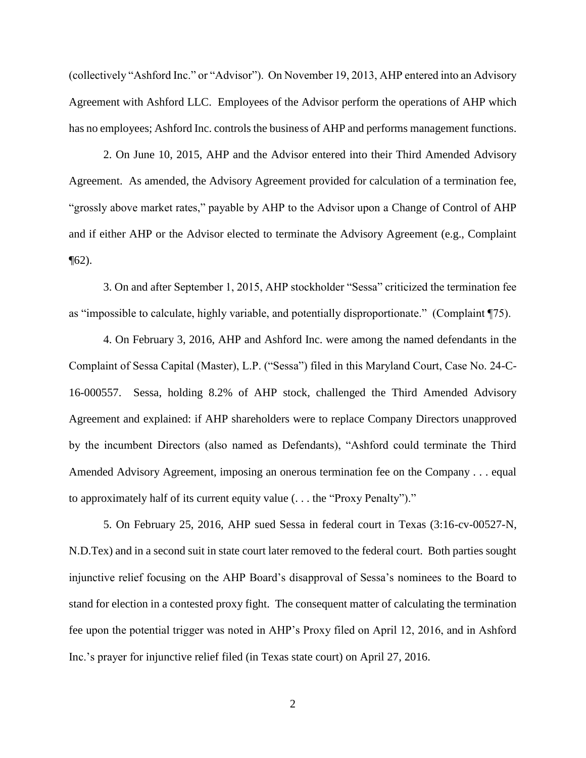(collectively "Ashford Inc." or "Advisor"). On November 19, 2013, AHP entered into an Advisory Agreement with Ashford LLC. Employees of the Advisor perform the operations of AHP which has no employees; Ashford Inc. controls the business of AHP and performs management functions.

2. On June 10, 2015, AHP and the Advisor entered into their Third Amended Advisory Agreement. As amended, the Advisory Agreement provided for calculation of a termination fee, "grossly above market rates," payable by AHP to the Advisor upon a Change of Control of AHP and if either AHP or the Advisor elected to terminate the Advisory Agreement (e.g., Complaint  $\P(62)$ .

3. On and after September 1, 2015, AHP stockholder "Sessa" criticized the termination fee as "impossible to calculate, highly variable, and potentially disproportionate." (Complaint ¶75).

4. On February 3, 2016, AHP and Ashford Inc. were among the named defendants in the Complaint of Sessa Capital (Master), L.P. ("Sessa") filed in this Maryland Court, Case No. 24-C-16-000557. Sessa, holding 8.2% of AHP stock, challenged the Third Amended Advisory Agreement and explained: if AHP shareholders were to replace Company Directors unapproved by the incumbent Directors (also named as Defendants), "Ashford could terminate the Third Amended Advisory Agreement, imposing an onerous termination fee on the Company . . . equal to approximately half of its current equity value (. . . the "Proxy Penalty")."

5. On February 25, 2016, AHP sued Sessa in federal court in Texas (3:16-cv-00527-N, N.D.Tex) and in a second suit in state court later removed to the federal court. Both parties sought injunctive relief focusing on the AHP Board's disapproval of Sessa's nominees to the Board to stand for election in a contested proxy fight. The consequent matter of calculating the termination fee upon the potential trigger was noted in AHP's Proxy filed on April 12, 2016, and in Ashford Inc.'s prayer for injunctive relief filed (in Texas state court) on April 27, 2016.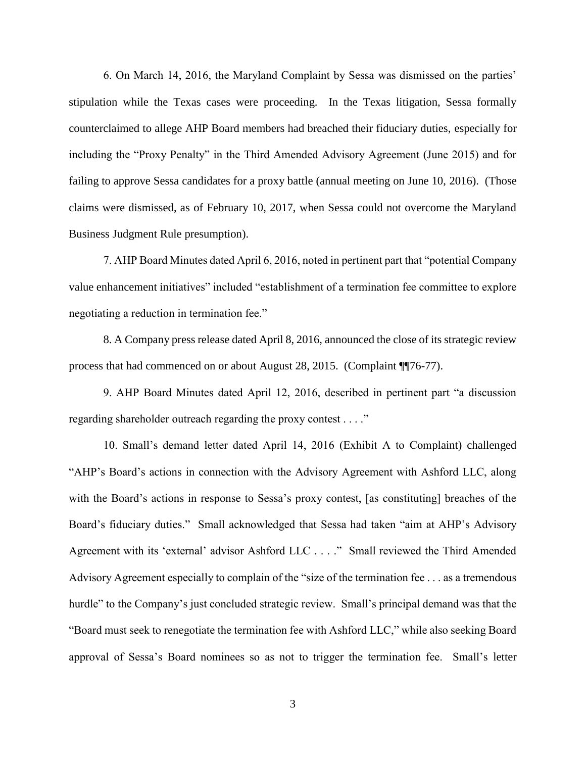6. On March 14, 2016, the Maryland Complaint by Sessa was dismissed on the parties' stipulation while the Texas cases were proceeding. In the Texas litigation, Sessa formally counterclaimed to allege AHP Board members had breached their fiduciary duties, especially for including the "Proxy Penalty" in the Third Amended Advisory Agreement (June 2015) and for failing to approve Sessa candidates for a proxy battle (annual meeting on June 10, 2016). (Those claims were dismissed, as of February 10, 2017, when Sessa could not overcome the Maryland Business Judgment Rule presumption).

7. AHP Board Minutes dated April 6, 2016, noted in pertinent part that "potential Company value enhancement initiatives" included "establishment of a termination fee committee to explore negotiating a reduction in termination fee."

8. A Company press release dated April 8, 2016, announced the close of its strategic review process that had commenced on or about August 28, 2015. (Complaint ¶¶76-77).

9. AHP Board Minutes dated April 12, 2016, described in pertinent part "a discussion regarding shareholder outreach regarding the proxy contest . . . ."

10. Small's demand letter dated April 14, 2016 (Exhibit A to Complaint) challenged "AHP's Board's actions in connection with the Advisory Agreement with Ashford LLC, along with the Board's actions in response to Sessa's proxy contest, [as constituting] breaches of the Board's fiduciary duties." Small acknowledged that Sessa had taken "aim at AHP's Advisory Agreement with its 'external' advisor Ashford LLC . . . ." Small reviewed the Third Amended Advisory Agreement especially to complain of the "size of the termination fee . . . as a tremendous hurdle" to the Company's just concluded strategic review. Small's principal demand was that the "Board must seek to renegotiate the termination fee with Ashford LLC," while also seeking Board approval of Sessa's Board nominees so as not to trigger the termination fee. Small's letter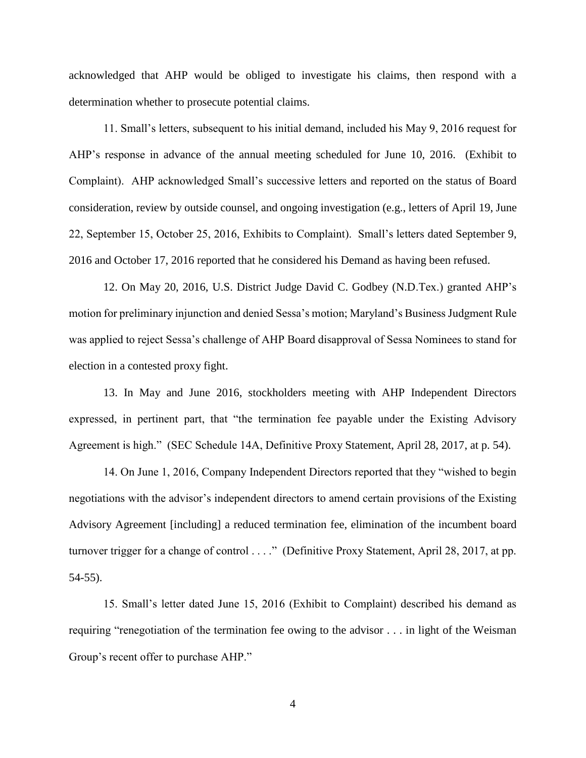acknowledged that AHP would be obliged to investigate his claims, then respond with a determination whether to prosecute potential claims.

11. Small's letters, subsequent to his initial demand, included his May 9, 2016 request for AHP's response in advance of the annual meeting scheduled for June 10, 2016. (Exhibit to Complaint). AHP acknowledged Small's successive letters and reported on the status of Board consideration, review by outside counsel, and ongoing investigation (e.g., letters of April 19, June 22, September 15, October 25, 2016, Exhibits to Complaint). Small's letters dated September 9, 2016 and October 17, 2016 reported that he considered his Demand as having been refused.

12. On May 20, 2016, U.S. District Judge David C. Godbey (N.D.Tex.) granted AHP's motion for preliminary injunction and denied Sessa's motion; Maryland's Business Judgment Rule was applied to reject Sessa's challenge of AHP Board disapproval of Sessa Nominees to stand for election in a contested proxy fight.

13. In May and June 2016, stockholders meeting with AHP Independent Directors expressed, in pertinent part, that "the termination fee payable under the Existing Advisory Agreement is high." (SEC Schedule 14A, Definitive Proxy Statement, April 28, 2017, at p. 54).

14. On June 1, 2016, Company Independent Directors reported that they "wished to begin negotiations with the advisor's independent directors to amend certain provisions of the Existing Advisory Agreement [including] a reduced termination fee, elimination of the incumbent board turnover trigger for a change of control . . . ." (Definitive Proxy Statement, April 28, 2017, at pp. 54-55).

15. Small's letter dated June 15, 2016 (Exhibit to Complaint) described his demand as requiring "renegotiation of the termination fee owing to the advisor . . . in light of the Weisman Group's recent offer to purchase AHP."

4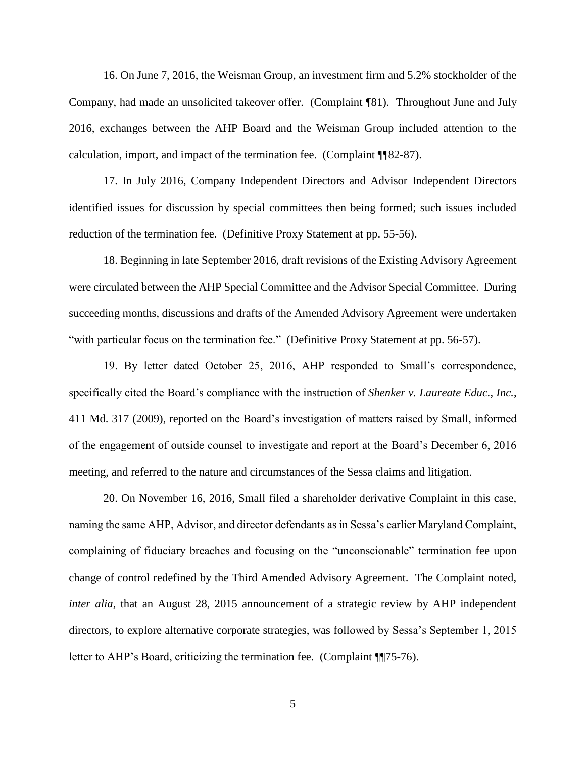16. On June 7, 2016, the Weisman Group, an investment firm and 5.2% stockholder of the Company, had made an unsolicited takeover offer. (Complaint ¶81). Throughout June and July 2016, exchanges between the AHP Board and the Weisman Group included attention to the calculation, import, and impact of the termination fee. (Complaint ¶¶82-87).

17. In July 2016, Company Independent Directors and Advisor Independent Directors identified issues for discussion by special committees then being formed; such issues included reduction of the termination fee. (Definitive Proxy Statement at pp. 55-56).

18. Beginning in late September 2016, draft revisions of the Existing Advisory Agreement were circulated between the AHP Special Committee and the Advisor Special Committee. During succeeding months, discussions and drafts of the Amended Advisory Agreement were undertaken "with particular focus on the termination fee." (Definitive Proxy Statement at pp. 56-57).

19. By letter dated October 25, 2016, AHP responded to Small's correspondence, specifically cited the Board's compliance with the instruction of *Shenker v. Laureate Educ., Inc.*, 411 Md. 317 (2009), reported on the Board's investigation of matters raised by Small, informed of the engagement of outside counsel to investigate and report at the Board's December 6, 2016 meeting, and referred to the nature and circumstances of the Sessa claims and litigation.

20. On November 16, 2016, Small filed a shareholder derivative Complaint in this case, naming the same AHP, Advisor, and director defendants as in Sessa's earlier Maryland Complaint, complaining of fiduciary breaches and focusing on the "unconscionable" termination fee upon change of control redefined by the Third Amended Advisory Agreement. The Complaint noted, *inter alia*, that an August 28, 2015 announcement of a strategic review by AHP independent directors, to explore alternative corporate strategies, was followed by Sessa's September 1, 2015 letter to AHP's Board, criticizing the termination fee. (Complaint ¶¶75-76).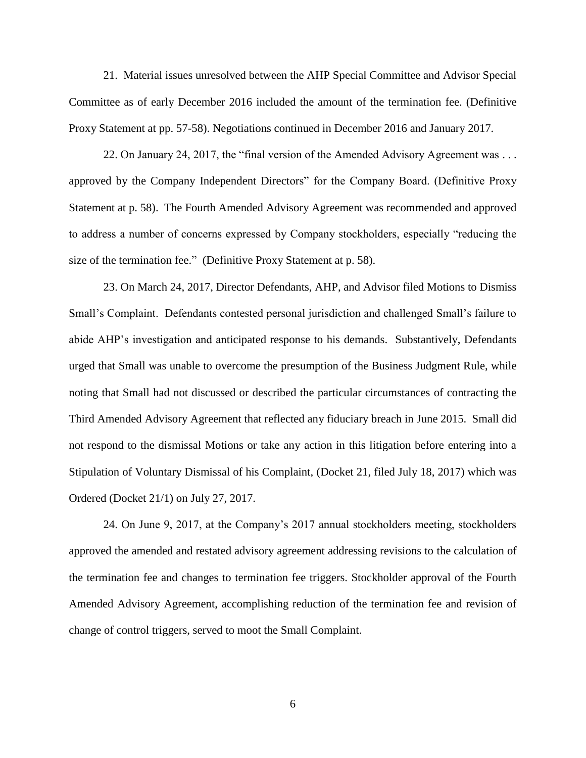21. Material issues unresolved between the AHP Special Committee and Advisor Special Committee as of early December 2016 included the amount of the termination fee. (Definitive Proxy Statement at pp. 57-58). Negotiations continued in December 2016 and January 2017.

22. On January 24, 2017, the "final version of the Amended Advisory Agreement was . . . approved by the Company Independent Directors" for the Company Board. (Definitive Proxy Statement at p. 58). The Fourth Amended Advisory Agreement was recommended and approved to address a number of concerns expressed by Company stockholders, especially "reducing the size of the termination fee." (Definitive Proxy Statement at p. 58).

23. On March 24, 2017, Director Defendants, AHP, and Advisor filed Motions to Dismiss Small's Complaint. Defendants contested personal jurisdiction and challenged Small's failure to abide AHP's investigation and anticipated response to his demands. Substantively, Defendants urged that Small was unable to overcome the presumption of the Business Judgment Rule, while noting that Small had not discussed or described the particular circumstances of contracting the Third Amended Advisory Agreement that reflected any fiduciary breach in June 2015. Small did not respond to the dismissal Motions or take any action in this litigation before entering into a Stipulation of Voluntary Dismissal of his Complaint, (Docket 21, filed July 18, 2017) which was Ordered (Docket 21/1) on July 27, 2017.

24. On June 9, 2017, at the Company's 2017 annual stockholders meeting, stockholders approved the amended and restated advisory agreement addressing revisions to the calculation of the termination fee and changes to termination fee triggers. Stockholder approval of the Fourth Amended Advisory Agreement, accomplishing reduction of the termination fee and revision of change of control triggers, served to moot the Small Complaint.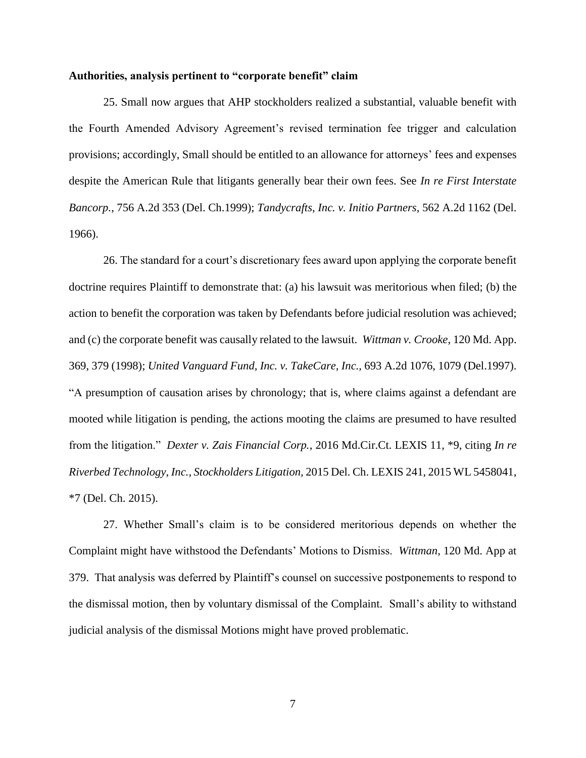## **Authorities, analysis pertinent to "corporate benefit" claim**

25. Small now argues that AHP stockholders realized a substantial, valuable benefit with the Fourth Amended Advisory Agreement's revised termination fee trigger and calculation provisions; accordingly, Small should be entitled to an allowance for attorneys' fees and expenses despite the American Rule that litigants generally bear their own fees. See *In re First Interstate Bancorp.*, 756 A.2d 353 (Del. Ch.1999); *Tandycrafts, Inc. v. Initio Partners*, 562 A.2d 1162 (Del. 1966).

26. The standard for a court's discretionary fees award upon applying the corporate benefit doctrine requires Plaintiff to demonstrate that: (a) his lawsuit was meritorious when filed; (b) the action to benefit the corporation was taken by Defendants before judicial resolution was achieved; and (c) the corporate benefit was causally related to the lawsuit. *Wittman v. Crooke*, 120 Md. App. 369, 379 (1998); *United Vanguard Fund, Inc. v. TakeCare, Inc.,* 693 A.2d 1076, 1079 (Del.1997). "A presumption of causation arises by chronology; that is, where claims against a defendant are mooted while litigation is pending, the actions mooting the claims are presumed to have resulted from the litigation." *Dexter v. Zais Financial Corp.*, 2016 Md.Cir.Ct. LEXIS 11, \*9, citing *In re Riverbed Technology, Inc., Stockholders Litigation,* 2015 Del. Ch. LEXIS 241, 2015 WL 5458041, \*7 (Del. Ch. 2015).

27. Whether Small's claim is to be considered meritorious depends on whether the Complaint might have withstood the Defendants' Motions to Dismiss. *Wittman*, 120 Md. App at 379. That analysis was deferred by Plaintiff's counsel on successive postponements to respond to the dismissal motion, then by voluntary dismissal of the Complaint. Small's ability to withstand judicial analysis of the dismissal Motions might have proved problematic.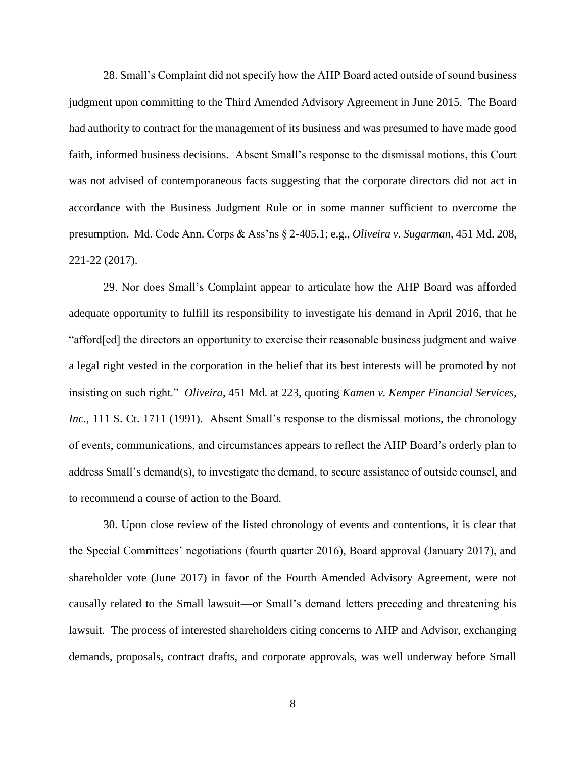28. Small's Complaint did not specify how the AHP Board acted outside of sound business judgment upon committing to the Third Amended Advisory Agreement in June 2015. The Board had authority to contract for the management of its business and was presumed to have made good faith, informed business decisions. Absent Small's response to the dismissal motions, this Court was not advised of contemporaneous facts suggesting that the corporate directors did not act in accordance with the Business Judgment Rule or in some manner sufficient to overcome the presumption. Md. Code Ann. Corps & Ass'ns § 2-405.1; e.g., *Oliveira v. Sugarman,* 451 Md. 208, 221-22 (2017).

29. Nor does Small's Complaint appear to articulate how the AHP Board was afforded adequate opportunity to fulfill its responsibility to investigate his demand in April 2016, that he "afford[ed] the directors an opportunity to exercise their reasonable business judgment and waive a legal right vested in the corporation in the belief that its best interests will be promoted by not insisting on such right." *Oliveira*, 451 Md. at 223, quoting *Kamen v. Kemper Financial Services, Inc.,* 111 S. Ct. 1711 (1991). Absent Small's response to the dismissal motions, the chronology of events, communications, and circumstances appears to reflect the AHP Board's orderly plan to address Small's demand(s), to investigate the demand, to secure assistance of outside counsel, and to recommend a course of action to the Board.

30. Upon close review of the listed chronology of events and contentions, it is clear that the Special Committees' negotiations (fourth quarter 2016), Board approval (January 2017), and shareholder vote (June 2017) in favor of the Fourth Amended Advisory Agreement, were not causally related to the Small lawsuit—or Small's demand letters preceding and threatening his lawsuit. The process of interested shareholders citing concerns to AHP and Advisor, exchanging demands, proposals, contract drafts, and corporate approvals, was well underway before Small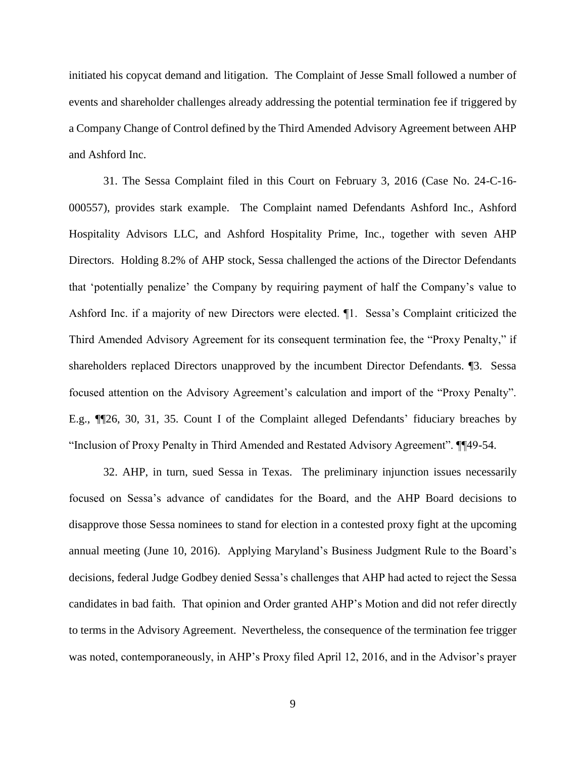initiated his copycat demand and litigation. The Complaint of Jesse Small followed a number of events and shareholder challenges already addressing the potential termination fee if triggered by a Company Change of Control defined by the Third Amended Advisory Agreement between AHP and Ashford Inc.

31. The Sessa Complaint filed in this Court on February 3, 2016 (Case No. 24-C-16- 000557), provides stark example. The Complaint named Defendants Ashford Inc., Ashford Hospitality Advisors LLC, and Ashford Hospitality Prime, Inc., together with seven AHP Directors. Holding 8.2% of AHP stock, Sessa challenged the actions of the Director Defendants that 'potentially penalize' the Company by requiring payment of half the Company's value to Ashford Inc. if a majority of new Directors were elected. ¶1. Sessa's Complaint criticized the Third Amended Advisory Agreement for its consequent termination fee, the "Proxy Penalty," if shareholders replaced Directors unapproved by the incumbent Director Defendants. ¶3. Sessa focused attention on the Advisory Agreement's calculation and import of the "Proxy Penalty". E.g., ¶¶26, 30, 31, 35. Count I of the Complaint alleged Defendants' fiduciary breaches by "Inclusion of Proxy Penalty in Third Amended and Restated Advisory Agreement". ¶¶49-54.

32. AHP, in turn, sued Sessa in Texas. The preliminary injunction issues necessarily focused on Sessa's advance of candidates for the Board, and the AHP Board decisions to disapprove those Sessa nominees to stand for election in a contested proxy fight at the upcoming annual meeting (June 10, 2016). Applying Maryland's Business Judgment Rule to the Board's decisions, federal Judge Godbey denied Sessa's challenges that AHP had acted to reject the Sessa candidates in bad faith. That opinion and Order granted AHP's Motion and did not refer directly to terms in the Advisory Agreement. Nevertheless, the consequence of the termination fee trigger was noted, contemporaneously, in AHP's Proxy filed April 12, 2016, and in the Advisor's prayer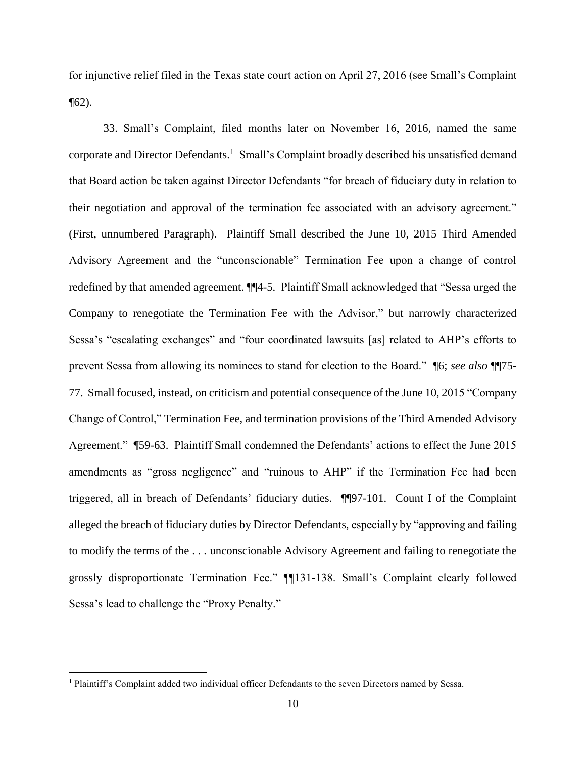for injunctive relief filed in the Texas state court action on April 27, 2016 (see Small's Complaint  $\P(62)$ .

33. Small's Complaint, filed months later on November 16, 2016, named the same corporate and Director Defendants. <sup>1</sup> Small's Complaint broadly described his unsatisfied demand that Board action be taken against Director Defendants "for breach of fiduciary duty in relation to their negotiation and approval of the termination fee associated with an advisory agreement." (First, unnumbered Paragraph). Plaintiff Small described the June 10, 2015 Third Amended Advisory Agreement and the "unconscionable" Termination Fee upon a change of control redefined by that amended agreement. ¶¶4-5. Plaintiff Small acknowledged that "Sessa urged the Company to renegotiate the Termination Fee with the Advisor," but narrowly characterized Sessa's "escalating exchanges" and "four coordinated lawsuits [as] related to AHP's efforts to prevent Sessa from allowing its nominees to stand for election to the Board." ¶6; *see also* ¶¶75- 77. Small focused, instead, on criticism and potential consequence of the June 10, 2015 "Company Change of Control," Termination Fee, and termination provisions of the Third Amended Advisory Agreement." ¶59-63. Plaintiff Small condemned the Defendants' actions to effect the June 2015 amendments as "gross negligence" and "ruinous to AHP" if the Termination Fee had been triggered, all in breach of Defendants' fiduciary duties. ¶¶97-101. Count I of the Complaint alleged the breach of fiduciary duties by Director Defendants, especially by "approving and failing to modify the terms of the . . . unconscionable Advisory Agreement and failing to renegotiate the grossly disproportionate Termination Fee." ¶¶131-138. Small's Complaint clearly followed Sessa's lead to challenge the "Proxy Penalty."

 $\overline{a}$ 

<sup>1</sup> Plaintiff's Complaint added two individual officer Defendants to the seven Directors named by Sessa.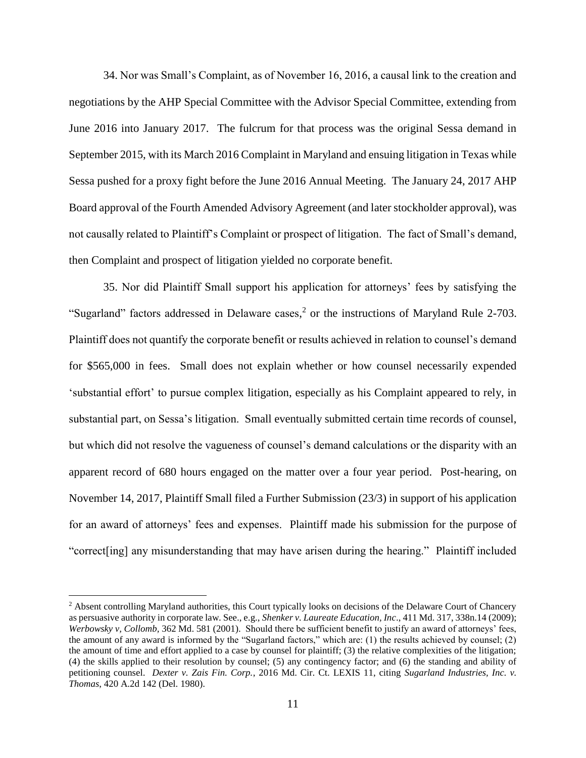34. Nor was Small's Complaint, as of November 16, 2016, a causal link to the creation and negotiations by the AHP Special Committee with the Advisor Special Committee, extending from June 2016 into January 2017. The fulcrum for that process was the original Sessa demand in September 2015, with its March 2016 Complaint in Maryland and ensuing litigation in Texas while Sessa pushed for a proxy fight before the June 2016 Annual Meeting. The January 24, 2017 AHP Board approval of the Fourth Amended Advisory Agreement (and later stockholder approval), was not causally related to Plaintiff's Complaint or prospect of litigation. The fact of Small's demand, then Complaint and prospect of litigation yielded no corporate benefit.

35. Nor did Plaintiff Small support his application for attorneys' fees by satisfying the "Sugarland" factors addressed in Delaware cases,<sup>2</sup> or the instructions of Maryland Rule 2-703. Plaintiff does not quantify the corporate benefit or results achieved in relation to counsel's demand for \$565,000 in fees. Small does not explain whether or how counsel necessarily expended 'substantial effort' to pursue complex litigation, especially as his Complaint appeared to rely, in substantial part, on Sessa's litigation. Small eventually submitted certain time records of counsel, but which did not resolve the vagueness of counsel's demand calculations or the disparity with an apparent record of 680 hours engaged on the matter over a four year period. Post-hearing, on November 14, 2017, Plaintiff Small filed a Further Submission (23/3) in support of his application for an award of attorneys' fees and expenses. Plaintiff made his submission for the purpose of "correct[ing] any misunderstanding that may have arisen during the hearing." Plaintiff included

 $\overline{a}$ 

<sup>&</sup>lt;sup>2</sup> Absent controlling Maryland authorities, this Court typically looks on decisions of the Delaware Court of Chancery as persuasive authority in corporate law. See., e.g., *Shenker v. Laureate Education, Inc*., 411 Md. 317, 338n.14 (2009); *Werbowsky v, Collomb,* 362 Md. 581 (2001). Should there be sufficient benefit to justify an award of attorneys' fees, the amount of any award is informed by the "Sugarland factors," which are: (1) the results achieved by counsel; (2) the amount of time and effort applied to a case by counsel for plaintiff; (3) the relative complexities of the litigation; (4) the skills applied to their resolution by counsel; (5) any contingency factor; and (6) the standing and ability of petitioning counsel. *Dexter v. Zais Fin. Corp.*, 2016 Md. Cir. Ct. LEXIS 11, citing *Sugarland Industries, Inc. v. Thomas*, 420 A.2d 142 (Del. 1980).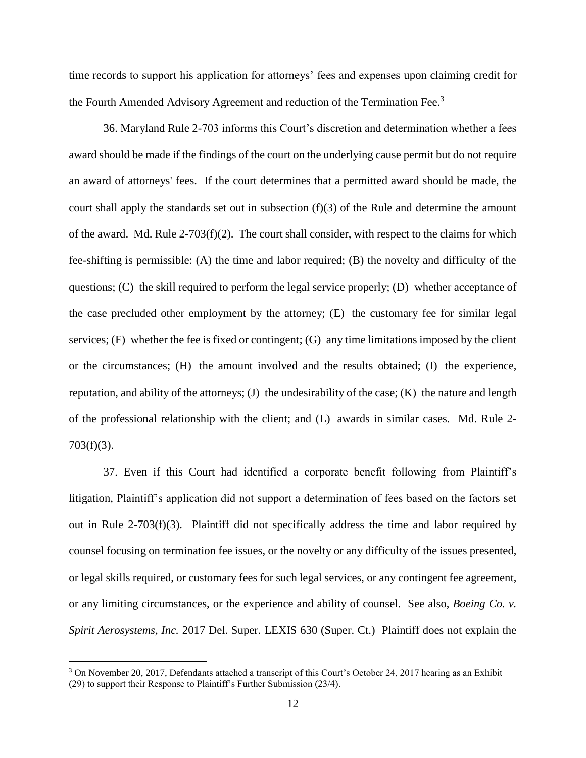time records to support his application for attorneys' fees and expenses upon claiming credit for the Fourth Amended Advisory Agreement and reduction of the Termination Fee.<sup>3</sup>

36. Maryland Rule 2-703 informs this Court's discretion and determination whether a fees award should be made if the findings of the court on the underlying cause permit but do not require an award of attorneys' fees. If the court determines that a permitted award should be made, the court shall apply the standards set out in subsection (f)(3) of the Rule and determine the amount of the award. Md. Rule  $2-703(f)(2)$ . The court shall consider, with respect to the claims for which fee-shifting is permissible: (A) the time and labor required; (B) the novelty and difficulty of the questions; (C) the skill required to perform the legal service properly; (D) whether acceptance of the case precluded other employment by the attorney; (E) the customary fee for similar legal services; (F) whether the fee is fixed or contingent; (G) any time limitations imposed by the client or the circumstances; (H) the amount involved and the results obtained; (I) the experience, reputation, and ability of the attorneys; (J) the undesirability of the case; (K) the nature and length of the professional relationship with the client; and (L) awards in similar cases. Md. Rule 2-  $703(f)(3)$ .

37. Even if this Court had identified a corporate benefit following from Plaintiff's litigation, Plaintiff's application did not support a determination of fees based on the factors set out in Rule 2-703(f)(3). Plaintiff did not specifically address the time and labor required by counsel focusing on termination fee issues, or the novelty or any difficulty of the issues presented, or legal skills required, or customary fees for such legal services, or any contingent fee agreement, or any limiting circumstances, or the experience and ability of counsel. See also, *Boeing Co. v. Spirit Aerosystems, Inc.* 2017 Del. Super. LEXIS 630 (Super. Ct.) Plaintiff does not explain the

 $\overline{a}$ 

<sup>&</sup>lt;sup>3</sup> On November 20, 2017, Defendants attached a transcript of this Court's October 24, 2017 hearing as an Exhibit (29) to support their Response to Plaintiff's Further Submission (23/4).